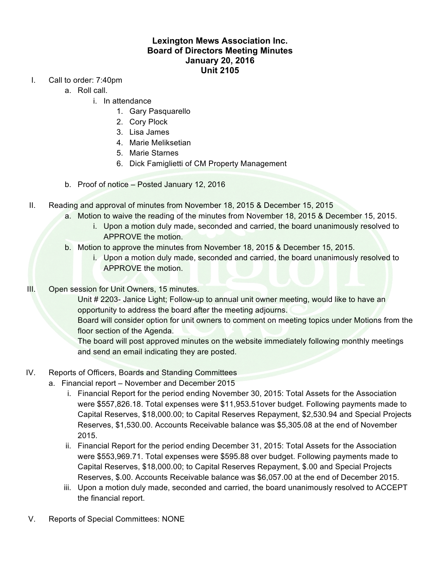## **Lexington Mews Association Inc. Board of Directors Meeting Minutes January 20, 2016 Unit 2105**

- I. Call to order: 7:40pm
	- a. Roll call.
		- i. In attendance
			- 1. Gary Pasquarello
			- 2. Cory Plock
			- 3. Lisa James
			- 4. Marie Meliksetian
			- 5. Marie Starnes
			- 6. Dick Famiglietti of CM Property Management
	- b. Proof of notice Posted January 12, 2016
- II. Reading and approval of minutes from November 18, 2015 & December 15, 2015
	- a. Motion to waive the reading of the minutes from November 18, 2015 & December 15, 2015.
		- i. Upon a motion duly made, seconded and carried, the board unanimously resolved to APPROVE the motion.
	- b. Motion to approve the minutes from November 18, 2015 & December 15, 2015.
		- i. Upon a motion duly made, seconded and carried, the board unanimously resolved to APPROVE the motion.
- III. Open session for Unit Owners, 15 minutes.

Unit # 2203- Janice Light; Follow-up to annual unit owner meeting, would like to have an opportunity to address the board after the meeting adjourns.

Board will consider option for unit owners to comment on meeting topics under Motions from the floor section of the Agenda.

The board will post approved minutes on the website immediately following monthly meetings and send an email indicating they are posted.

- IV. Reports of Officers, Boards and Standing Committees
	- a. Financial report November and December 2015
		- i. Financial Report for the period ending November 30, 2015: Total Assets for the Association were \$557,826.18. Total expenses were \$11,953.51over budget. Following payments made to Capital Reserves, \$18,000.00; to Capital Reserves Repayment, \$2,530.94 and Special Projects Reserves, \$1,530.00. Accounts Receivable balance was \$5,305.08 at the end of November 2015.
		- ii. Financial Report for the period ending December 31, 2015: Total Assets for the Association were \$553,969.71. Total expenses were \$595.88 over budget. Following payments made to Capital Reserves, \$18,000.00; to Capital Reserves Repayment, \$.00 and Special Projects Reserves, \$.00. Accounts Receivable balance was \$6,057.00 at the end of December 2015.
		- iii. Upon a motion duly made, seconded and carried, the board unanimously resolved to ACCEPT the financial report.
- V. Reports of Special Committees: NONE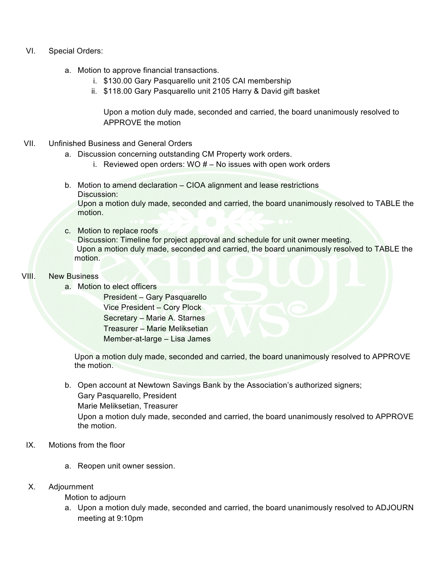- VI. Special Orders:
	- a. Motion to approve financial transactions.
		- i. \$130.00 Gary Pasquarello unit 2105 CAI membership
		- ii. \$118.00 Gary Pasquarello unit 2105 Harry & David gift basket

Upon a motion duly made, seconded and carried, the board unanimously resolved to APPROVE the motion

- VII. Unfinished Business and General Orders
	- a. Discussion concerning outstanding CM Property work orders.
		- i. Reviewed open orders: WO  $#$  No issues with open work orders
	- b. Motion to amend declaration CIOA alignment and lease restrictions Discussion: Upon a motion duly made, seconded and carried, the board unanimously resolved to TABLE the motion.
	- c. Motion to replace roofs Discussion: Timeline for project approval and schedule for unit owner meeting. Upon a motion duly made, seconded and carried, the board unanimously resolved to TABLE the motion.
- VIII. New Business
	- a. Motion to elect officers

President – Gary Pasquarello Vice President – Cory Plock Secretary – Marie A. Starnes Treasurer – Marie Meliksetian Member-at-large – Lisa James

Upon a motion duly made, seconded and carried, the board unanimously resolved to APPROVE the motion.

b. Open account at Newtown Savings Bank by the Association's authorized signers; Gary Pasquarello, President

Marie Meliksetian, Treasurer

Upon a motion duly made, seconded and carried, the board unanimously resolved to APPROVE the motion.

- IX. Motions from the floor
	- a. Reopen unit owner session.
- X. Adjournment

Motion to adjourn

a. Upon a motion duly made, seconded and carried, the board unanimously resolved to ADJOURN meeting at 9:10pm